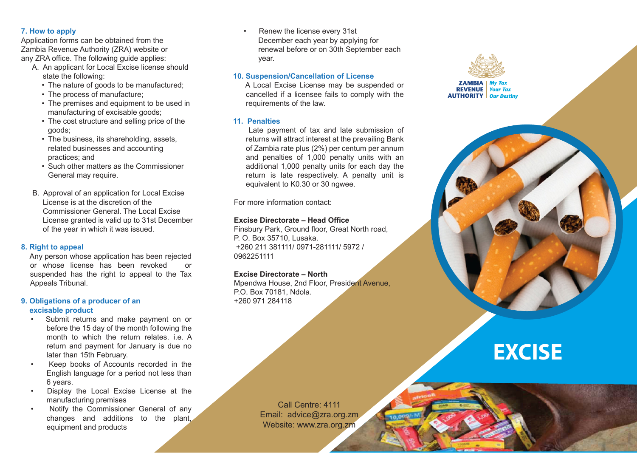### **7. How to apply**

Application forms can be obtained from the Zambia Revenue Authority (ZRA) website or any ZRA office. The following guide applies:

- A. An applicant for Local Excise license should state the following:
	- The nature of goods to be manufactured;
	- The process of manufacture;
	- The premises and equipment to be used in manufacturing of excisable goods;
	- The cost structure and selling price of the goods;
	- The business, its shareholding, assets, related businesses and accounting practices; and
	- Such other matters as the Commissioner General may require.
- B. Approval of an application for Local Excise License is at the discretion of the Commissioner General. The Local Excise License granted is valid up to 31st December of the year in which it was issued.

## **8. Right to appeal**

 Any person whose application has been rejected or whose license has been revoked or suspended has the right to appeal to the Tax Appeals Tribunal.

#### **9. Obligations of a producer of an excisable product**

- Submit returns and make payment on or before the 15 day of the month following the month to which the return relates. i.e. A return and payment for January is due no later than 15th February.
- Keep books of Accounts recorded in the English language for a period not less than 6 years.
- Display the Local Excise License at the manufacturing premises
- Notify the Commissioner General of any changes and additions to the plant, equipment and products

• Renew the license every 31st December each year by applying for renewal before or on 30th September each year.

# **10. Suspension/Cancellation of License**

 A Local Excise License may be suspended or cancelled if a licensee fails to comply with the requirements of the law.

## **11. Penalties**

 Late payment of tax and late submission of returns will attract interest at the prevailing Bank of Zambia rate plus (2%) per centum per annum and penalties of 1,000 penalty units with an additional 1,000 penalty units for each day the return is late respectively. A penalty unit is equivalent to K0.30 or 30 ngwee.

For more information contact:

# **Excise Directorate – Head Office**

Finsbury Park, Ground floor, Great North road, P. O. Box 35710, Lusaka. +260 211 381111/ 0971-281111/ 5972 / 0962251111

## **Excise Directorate – North**

Mpendwa House, 2nd Floor, President Avenue, P.O. Box 70181, Ndola. +260 971 284118



# **EXCISE**

Call Centre: 4111 Email: advice@zra.org.zm Website: www.zra.org.zm